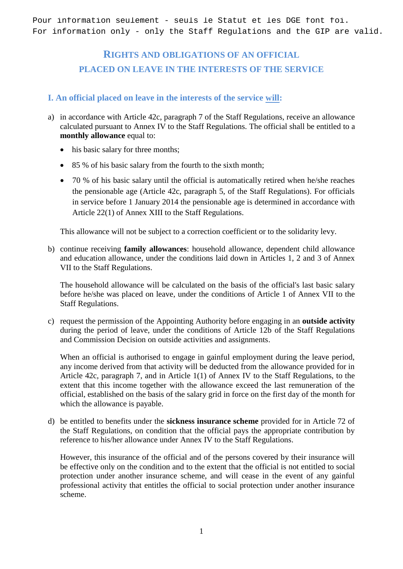Pour information seulement - seuls le Statut et les DGE font foi. For information only - only the Staff Regulations and the GIP are valid.

# **RIGHTS AND OBLIGATIONS OF AN OFFICIAL PLACED ON LEAVE IN THE INTERESTS OF THE SERVICE**

## **I. An official placed on leave in the interests of the service will:**

- a) in accordance with Article 42c, paragraph 7 of the Staff Regulations, receive an allowance calculated pursuant to Annex IV to the Staff Regulations. The official shall be entitled to a **monthly allowance** equal to:
	- his basic salary for three months;
	- 85 % of his basic salary from the fourth to the sixth month;
	- 70 % of his basic salary until the official is automatically retired when he/she reaches the pensionable age (Article 42c, paragraph 5, of the Staff Regulations). For officials in service before 1 January 2014 the pensionable age is determined in accordance with Article 22(1) of Annex XIII to the Staff Regulations.

This allowance will not be subject to a correction coefficient or to the solidarity levy.

b) continue receiving **family allowances**: household allowance, dependent child allowance and education allowance, under the conditions laid down in Articles 1, 2 and 3 of Annex VII to the Staff Regulations.

The household allowance will be calculated on the basis of the official's last basic salary before he/she was placed on leave, under the conditions of Article 1 of Annex VII to the Staff Regulations.

c) request the permission of the Appointing Authority before engaging in an **outside activity** during the period of leave, under the conditions of Article 12b of the Staff Regulations and Commission Decision on outside activities and assignments.

When an official is authorised to engage in gainful employment during the leave period, any income derived from that activity will be deducted from the allowance provided for in Article 42c, paragraph 7, and in Article 1(1) of Annex IV to the Staff Regulations, to the extent that this income together with the allowance exceed the last remuneration of the official, established on the basis of the salary grid in force on the first day of the month for which the allowance is payable.

d) be entitled to benefits under the **sickness insurance scheme** provided for in Article 72 of the Staff Regulations, on condition that the official pays the appropriate contribution by reference to his/her allowance under Annex IV to the Staff Regulations.

However, this insurance of the official and of the persons covered by their insurance will be effective only on the condition and to the extent that the official is not entitled to social protection under another insurance scheme, and will cease in the event of any gainful professional activity that entitles the official to social protection under another insurance scheme.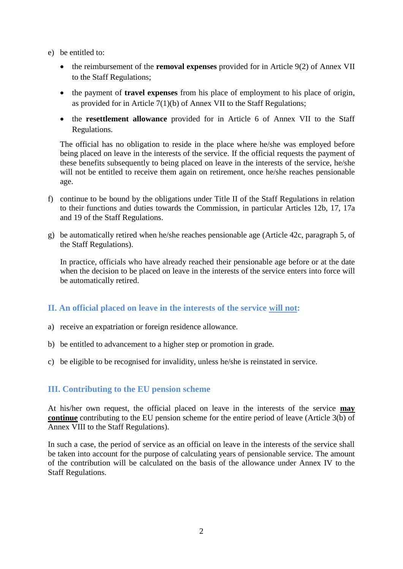- e) be entitled to:
	- the reimbursement of the **removal expenses** provided for in Article 9(2) of Annex VII to the Staff Regulations;
	- the payment of **travel expenses** from his place of employment to his place of origin, as provided for in Article 7(1)(b) of Annex VII to the Staff Regulations;
	- the **resettlement allowance** provided for in Article 6 of Annex VII to the Staff Regulations.

The official has no obligation to reside in the place where he/she was employed before being placed on leave in the interests of the service. If the official requests the payment of these benefits subsequently to being placed on leave in the interests of the service, he/she will not be entitled to receive them again on retirement, once he/she reaches pensionable age.

- f) continue to be bound by the obligations under Title II of the Staff Regulations in relation to their functions and duties towards the Commission, in particular Articles 12b, 17, 17a and 19 of the Staff Regulations.
- g) be automatically retired when he/she reaches pensionable age (Article 42c, paragraph 5, of the Staff Regulations).

In practice, officials who have already reached their pensionable age before or at the date when the decision to be placed on leave in the interests of the service enters into force will be automatically retired.

#### **II. An official placed on leave in the interests of the service will not:**

- a) receive an expatriation or foreign residence allowance.
- b) be entitled to advancement to a higher step or promotion in grade.
- c) be eligible to be recognised for invalidity, unless he/she is reinstated in service.

#### **III. Contributing to the EU pension scheme**

At his/her own request, the official placed on leave in the interests of the service **may continue** contributing to the EU pension scheme for the entire period of leave (Article 3(b) of Annex VIII to the Staff Regulations).

In such a case, the period of service as an official on leave in the interests of the service shall be taken into account for the purpose of calculating years of pensionable service. The amount of the contribution will be calculated on the basis of the allowance under Annex IV to the Staff Regulations.